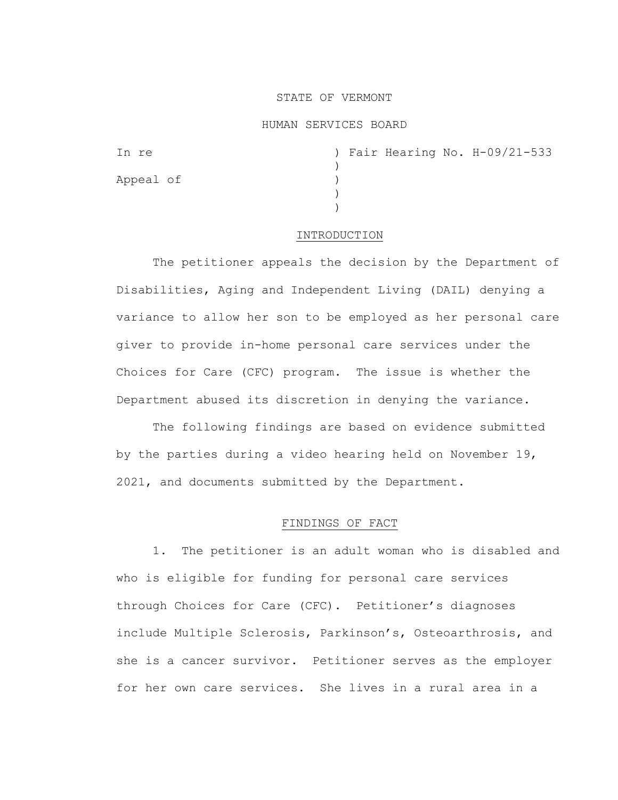### STATE OF VERMONT

#### HUMAN SERVICES BOARD

| In re     |  |  | ) Fair Hearing No. H-09/21-533 |
|-----------|--|--|--------------------------------|
|           |  |  |                                |
| Appeal of |  |  |                                |
|           |  |  |                                |
|           |  |  |                                |

#### INTRODUCTION

The petitioner appeals the decision by the Department of Disabilities, Aging and Independent Living (DAIL) denying a variance to allow her son to be employed as her personal care giver to provide in-home personal care services under the Choices for Care (CFC) program. The issue is whether the Department abused its discretion in denying the variance.

The following findings are based on evidence submitted by the parties during a video hearing held on November 19, 2021, and documents submitted by the Department.

# FINDINGS OF FACT

1. The petitioner is an adult woman who is disabled and who is eligible for funding for personal care services through Choices for Care (CFC). Petitioner's diagnoses include Multiple Sclerosis, Parkinson's, Osteoarthrosis, and she is a cancer survivor. Petitioner serves as the employer for her own care services. She lives in a rural area in a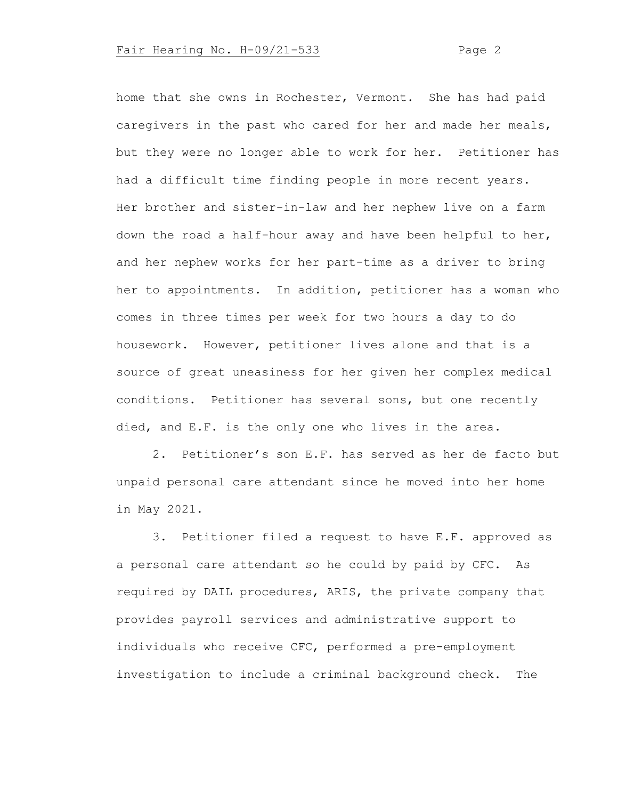# Fair Hearing No. H-09/21-533 Page 2

home that she owns in Rochester, Vermont. She has had paid caregivers in the past who cared for her and made her meals, but they were no longer able to work for her. Petitioner has had a difficult time finding people in more recent years. Her brother and sister-in-law and her nephew live on a farm down the road a half-hour away and have been helpful to her, and her nephew works for her part-time as a driver to bring her to appointments. In addition, petitioner has a woman who comes in three times per week for two hours a day to do housework. However, petitioner lives alone and that is a source of great uneasiness for her given her complex medical conditions. Petitioner has several sons, but one recently died, and E.F. is the only one who lives in the area.

2. Petitioner's son E.F. has served as her de facto but unpaid personal care attendant since he moved into her home in May 2021.

3. Petitioner filed a request to have E.F. approved as a personal care attendant so he could by paid by CFC. As required by DAIL procedures, ARIS, the private company that provides payroll services and administrative support to individuals who receive CFC, performed a pre-employment investigation to include a criminal background check. The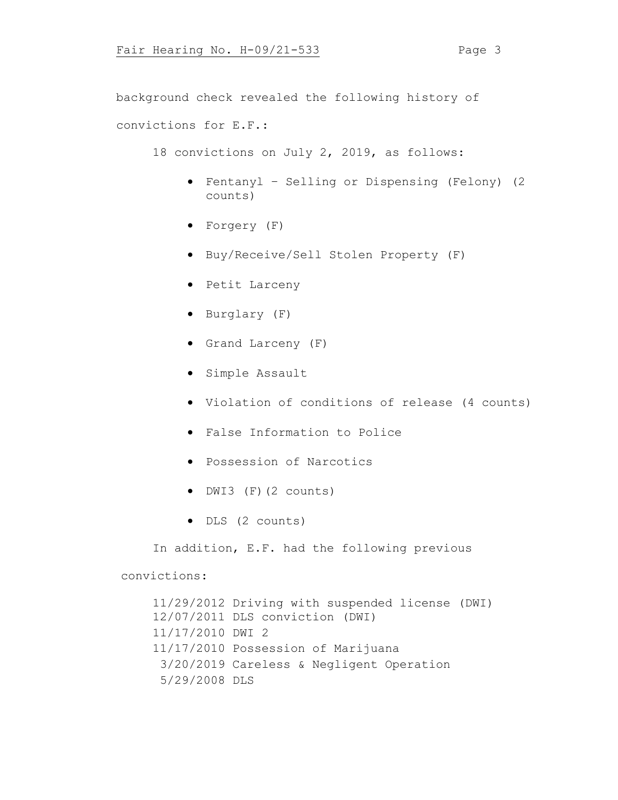background check revealed the following history of convictions for E.F.:

18 convictions on July 2, 2019, as follows:

- Fentanyl Selling or Dispensing (Felony) (2 counts)
- Forgery (F)
- Buy/Receive/Sell Stolen Property (F)
- Petit Larceny
- Burglary (F)
- Grand Larceny (F)
- Simple Assault
- Violation of conditions of release (4 counts)
- False Information to Police
- Possession of Narcotics
- DWI3 (F)(2 counts)
- DLS (2 counts)

In addition, E.F. had the following previous

## convictions:

11/29/2012 Driving with suspended license (DWI) 12/07/2011 DLS conviction (DWI) 11/17/2010 DWI 2 11/17/2010 Possession of Marijuana 3/20/2019 Careless & Negligent Operation 5/29/2008 DLS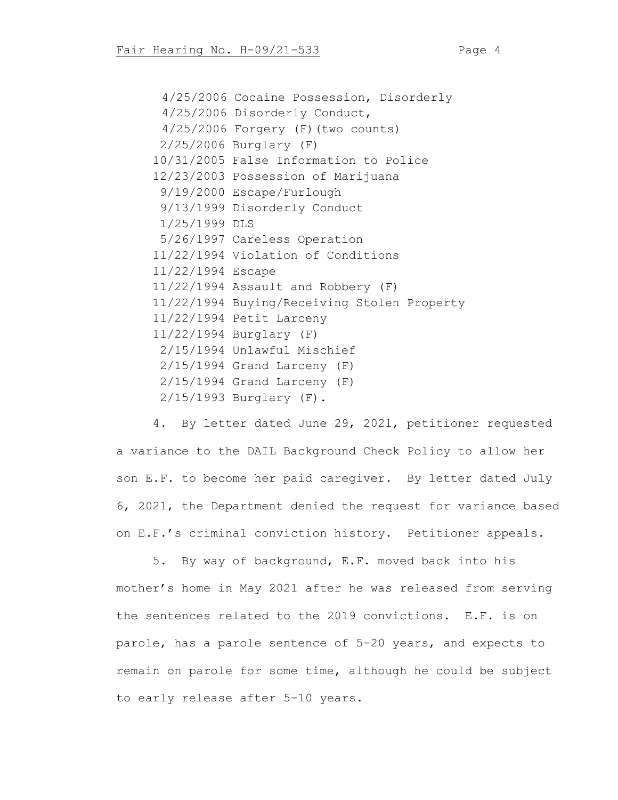4/25/2006 Cocaine Possession, Disorderly 4/25/2006 Disorderly Conduct, 4/25/2006 Forgery (F)(two counts) 2/25/2006 Burglary (F) 10/31/2005 False Information to Police 12/23/2003 Possession of Marijuana 9/19/2000 Escape/Furlough 9/13/1999 Disorderly Conduct 1/25/1999 DLS 5/26/1997 Careless Operation 11/22/1994 Violation of Conditions 11/22/1994 Escape 11/22/1994 Assault and Robbery (F) 11/22/1994 Buying/Receiving Stolen Property 11/22/1994 Petit Larceny 11/22/1994 Burglary (F) 2/15/1994 Unlawful Mischief 2/15/1994 Grand Larceny (F) 2/15/1994 Grand Larceny (F) 2/15/1993 Burglary (F).

4. By letter dated June 29, 2021, petitioner requested a variance to the DAIL Background Check Policy to allow her son E.F. to become her paid caregiver. By letter dated July 6, 2021, the Department denied the request for variance based on E.F.'s criminal conviction history. Petitioner appeals.

5. By way of background, E.F. moved back into his mother's home in May 2021 after he was released from serving the sentences related to the 2019 convictions. E.F. is on parole, has a parole sentence of 5-20 years, and expects to remain on parole for some time, although he could be subject to early release after 5-10 years.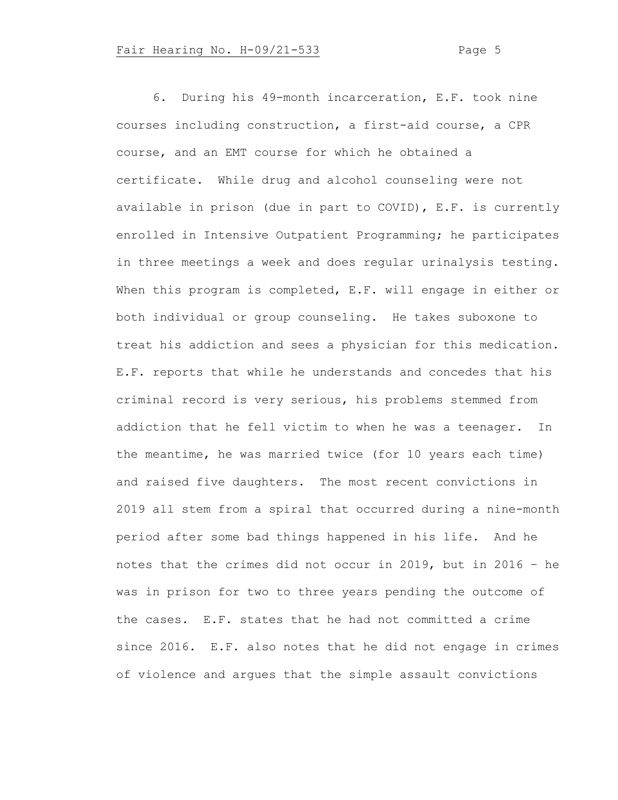6. During his 49-month incarceration, E.F. took nine courses including construction, a first-aid course, a CPR course, and an EMT course for which he obtained a certificate. While drug and alcohol counseling were not available in prison (due in part to COVID), E.F. is currently enrolled in Intensive Outpatient Programming; he participates in three meetings a week and does regular urinalysis testing. When this program is completed, E.F. will engage in either or both individual or group counseling. He takes suboxone to treat his addiction and sees a physician for this medication. E.F. reports that while he understands and concedes that his criminal record is very serious, his problems stemmed from addiction that he fell victim to when he was a teenager. In the meantime, he was married twice (for 10 years each time) and raised five daughters. The most recent convictions in 2019 all stem from a spiral that occurred during a nine-month period after some bad things happened in his life. And he notes that the crimes did not occur in 2019, but in 2016 – he was in prison for two to three years pending the outcome of the cases. E.F. states that he had not committed a crime since 2016. E.F. also notes that he did not engage in crimes of violence and argues that the simple assault convictions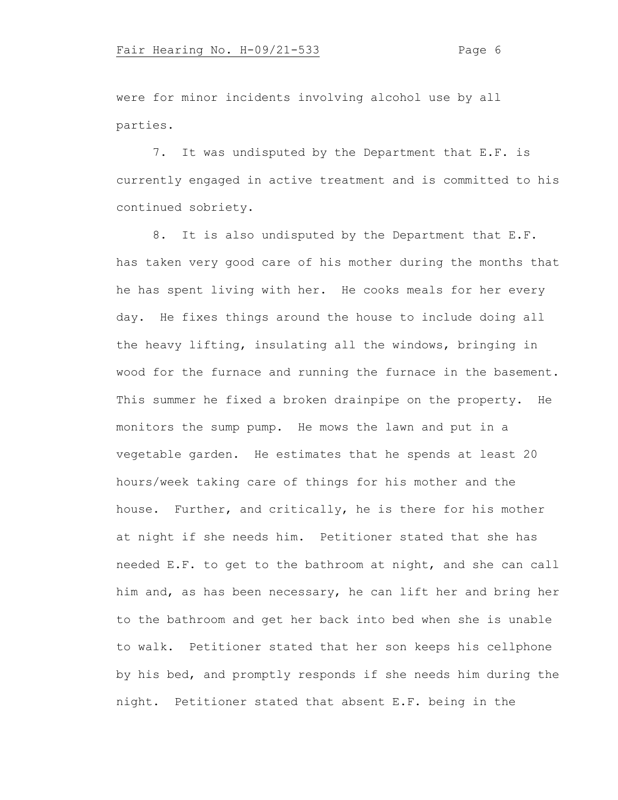were for minor incidents involving alcohol use by all parties.

7. It was undisputed by the Department that E.F. is currently engaged in active treatment and is committed to his continued sobriety.

8. It is also undisputed by the Department that E.F. has taken very good care of his mother during the months that he has spent living with her. He cooks meals for her every day. He fixes things around the house to include doing all the heavy lifting, insulating all the windows, bringing in wood for the furnace and running the furnace in the basement. This summer he fixed a broken drainpipe on the property. He monitors the sump pump. He mows the lawn and put in a vegetable garden. He estimates that he spends at least 20 hours/week taking care of things for his mother and the house. Further, and critically, he is there for his mother at night if she needs him. Petitioner stated that she has needed E.F. to get to the bathroom at night, and she can call him and, as has been necessary, he can lift her and bring her to the bathroom and get her back into bed when she is unable to walk. Petitioner stated that her son keeps his cellphone by his bed, and promptly responds if she needs him during the night. Petitioner stated that absent E.F. being in the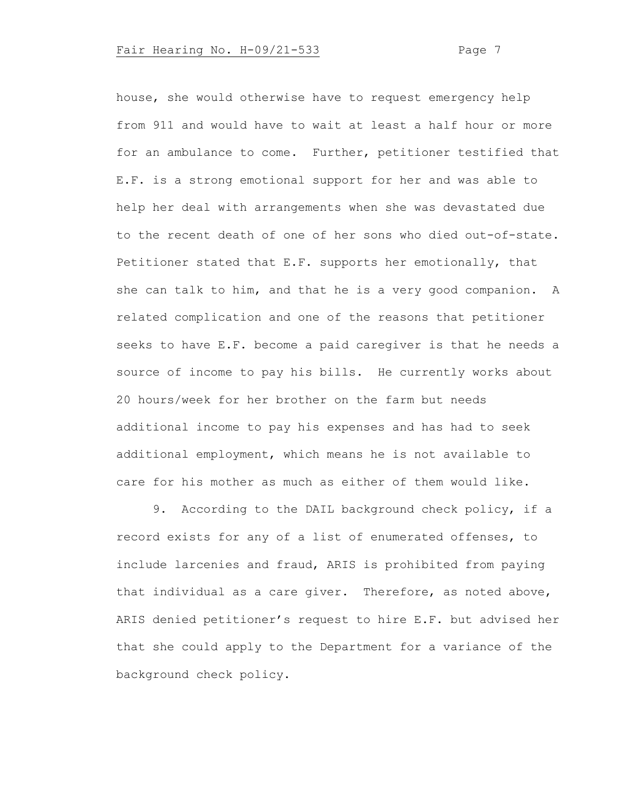# Fair Hearing No. H-09/21-533 Page 7

house, she would otherwise have to request emergency help from 911 and would have to wait at least a half hour or more for an ambulance to come. Further, petitioner testified that E.F. is a strong emotional support for her and was able to help her deal with arrangements when she was devastated due to the recent death of one of her sons who died out-of-state. Petitioner stated that E.F. supports her emotionally, that she can talk to him, and that he is a very good companion. A related complication and one of the reasons that petitioner seeks to have E.F. become a paid caregiver is that he needs a source of income to pay his bills. He currently works about 20 hours/week for her brother on the farm but needs additional income to pay his expenses and has had to seek additional employment, which means he is not available to care for his mother as much as either of them would like.

9. According to the DAIL background check policy, if a record exists for any of a list of enumerated offenses, to include larcenies and fraud, ARIS is prohibited from paying that individual as a care giver. Therefore, as noted above, ARIS denied petitioner's request to hire E.F. but advised her that she could apply to the Department for a variance of the background check policy.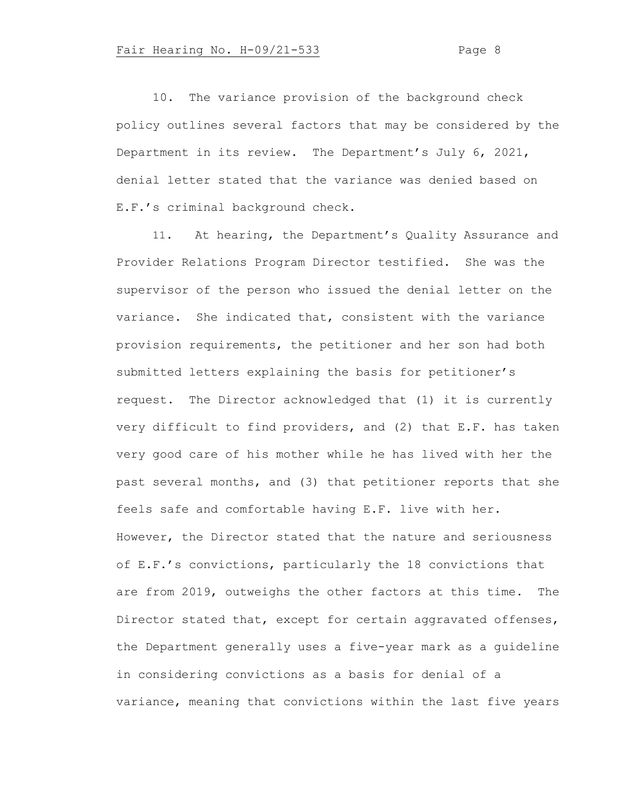10. The variance provision of the background check policy outlines several factors that may be considered by the Department in its review. The Department's July 6, 2021, denial letter stated that the variance was denied based on E.F.'s criminal background check.

11. At hearing, the Department's Quality Assurance and Provider Relations Program Director testified. She was the supervisor of the person who issued the denial letter on the variance. She indicated that, consistent with the variance provision requirements, the petitioner and her son had both submitted letters explaining the basis for petitioner's request. The Director acknowledged that (1) it is currently very difficult to find providers, and (2) that E.F. has taken very good care of his mother while he has lived with her the past several months, and (3) that petitioner reports that she feels safe and comfortable having E.F. live with her. However, the Director stated that the nature and seriousness of E.F.'s convictions, particularly the 18 convictions that are from 2019, outweighs the other factors at this time. The Director stated that, except for certain aggravated offenses, the Department generally uses a five-year mark as a guideline in considering convictions as a basis for denial of a variance, meaning that convictions within the last five years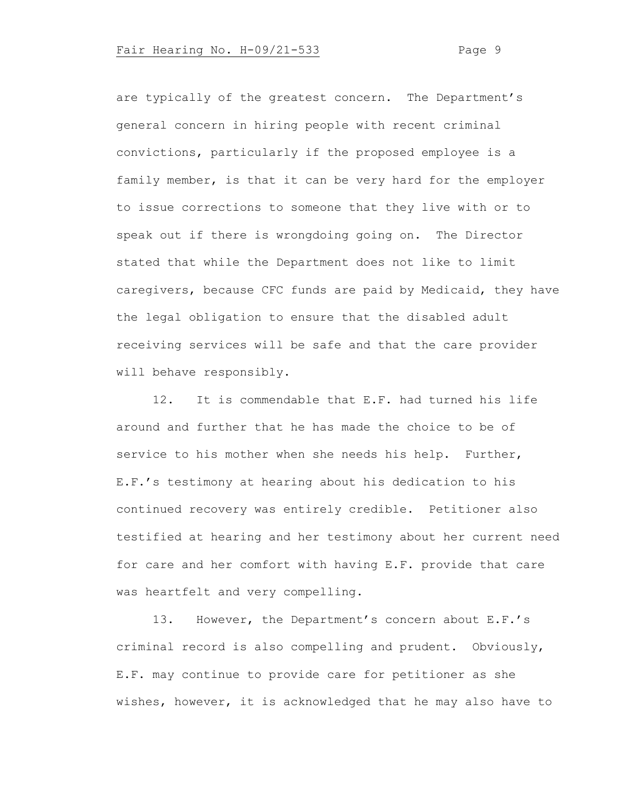are typically of the greatest concern. The Department's general concern in hiring people with recent criminal convictions, particularly if the proposed employee is a family member, is that it can be very hard for the employer to issue corrections to someone that they live with or to speak out if there is wrongdoing going on. The Director stated that while the Department does not like to limit caregivers, because CFC funds are paid by Medicaid, they have the legal obligation to ensure that the disabled adult receiving services will be safe and that the care provider will behave responsibly.

12. It is commendable that E.F. had turned his life around and further that he has made the choice to be of service to his mother when she needs his help. Further, E.F.'s testimony at hearing about his dedication to his continued recovery was entirely credible. Petitioner also testified at hearing and her testimony about her current need for care and her comfort with having E.F. provide that care was heartfelt and very compelling.

13. However, the Department's concern about E.F.'s criminal record is also compelling and prudent. Obviously, E.F. may continue to provide care for petitioner as she wishes, however, it is acknowledged that he may also have to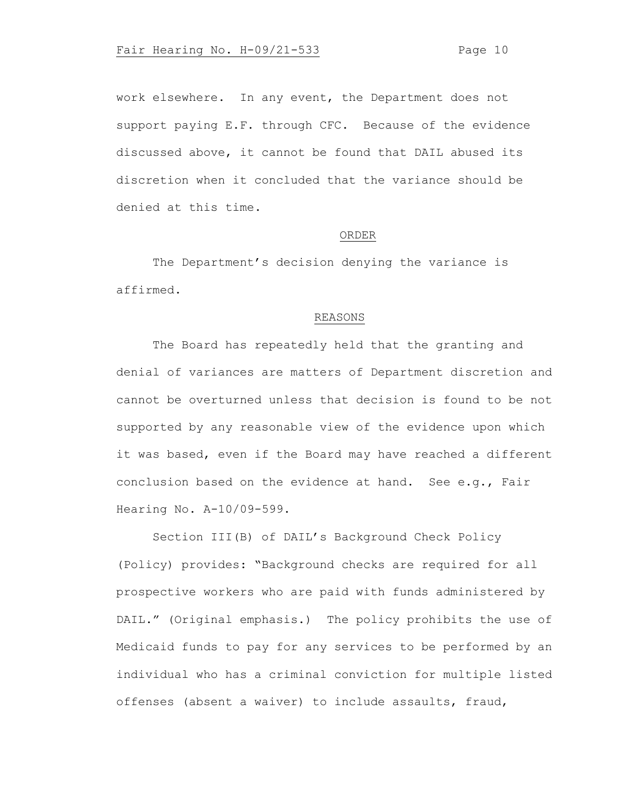work elsewhere. In any event, the Department does not support paying E.F. through CFC. Because of the evidence discussed above, it cannot be found that DAIL abused its discretion when it concluded that the variance should be denied at this time.

#### ORDER

The Department's decision denying the variance is affirmed.

#### REASONS

The Board has repeatedly held that the granting and denial of variances are matters of Department discretion and cannot be overturned unless that decision is found to be not supported by any reasonable view of the evidence upon which it was based, even if the Board may have reached a different conclusion based on the evidence at hand. See e.g., Fair Hearing No. A-10/09-599.

Section III(B) of DAIL's Background Check Policy (Policy) provides: "Background checks are required for all prospective workers who are paid with funds administered by DAIL." (Original emphasis.) The policy prohibits the use of Medicaid funds to pay for any services to be performed by an individual who has a criminal conviction for multiple listed offenses (absent a waiver) to include assaults, fraud,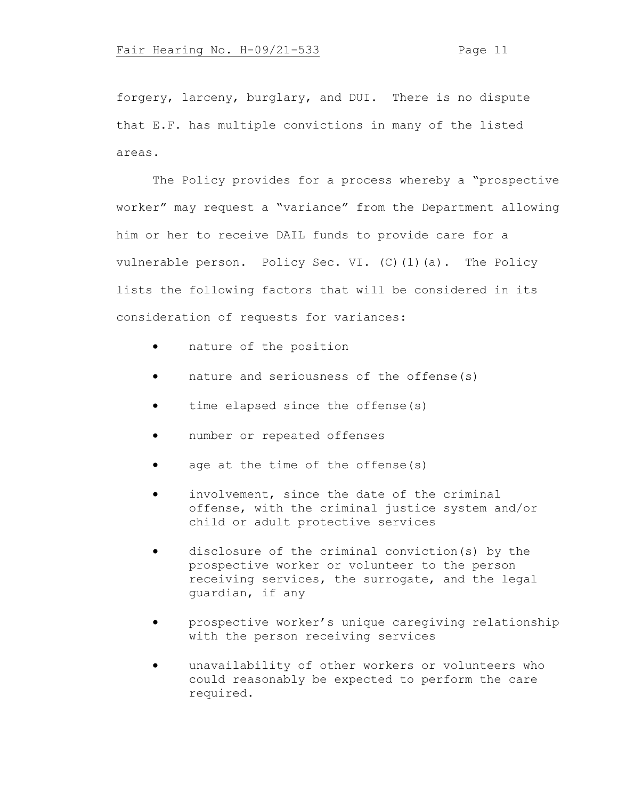forgery, larceny, burglary, and DUI. There is no dispute that E.F. has multiple convictions in many of the listed areas.

The Policy provides for a process whereby a "prospective worker" may request a "variance" from the Department allowing him or her to receive DAIL funds to provide care for a vulnerable person. Policy Sec. VI. (C)(1)(a). The Policy lists the following factors that will be considered in its consideration of requests for variances:

- nature of the position
- nature and seriousness of the offense(s)
- time elapsed since the offense(s)
- number or repeated offenses
- age at the time of the offense(s)
- involvement, since the date of the criminal offense, with the criminal justice system and/or child or adult protective services
- disclosure of the criminal conviction(s) by the prospective worker or volunteer to the person receiving services, the surrogate, and the legal guardian, if any
- prospective worker's unique caregiving relationship with the person receiving services
- unavailability of other workers or volunteers who could reasonably be expected to perform the care required.